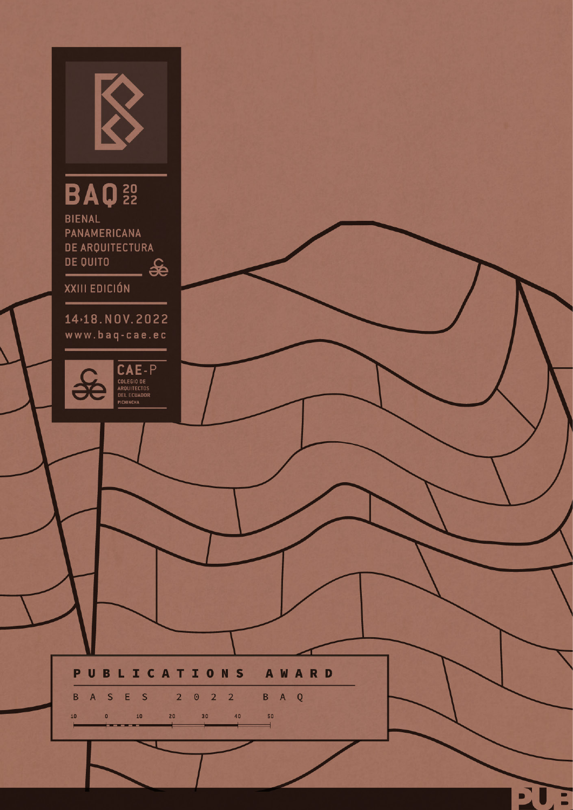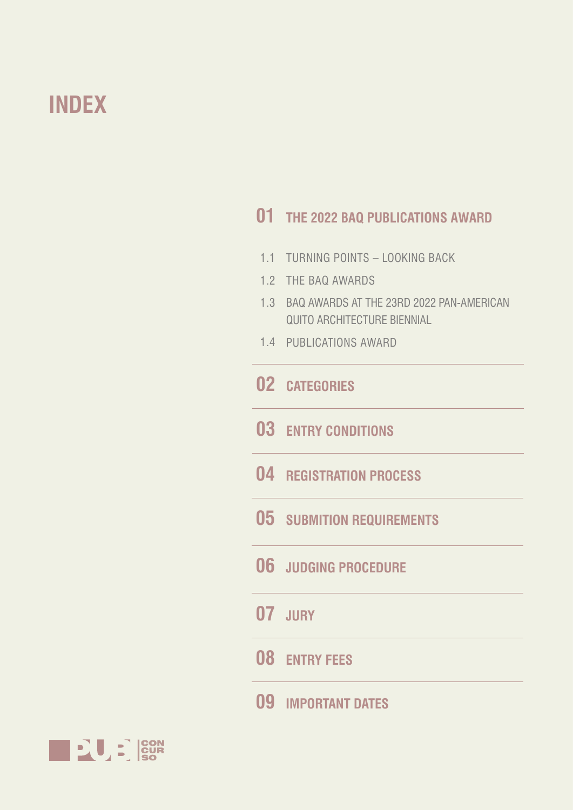# **INDEX**

### **THE 2022 BAQ PUBLICATIONS AWARD 01**

- 1.1 TURNING POINTS LOOKING BACK
- 1.2 THE BAQ AWARDS
- 1.3 BAQ AWARDS AT THE 23RD 2022 PAN-AMERICAN QUITO ARCHITECTURE BIENNIAL
- 1.4 PUBLICATIONS AWARD

### **CATEGORIES 02**

- **ENTRY CONDITIONS 03**
- **REGISTRATION PROCESS 04**
- **05 SUBMITION REQUIREMENTS**
- **JUDGING PROCEDURE 06**
- **JURY 07**
- **ENTRY FEES 08**

### **IMPORTANT DATES 09**

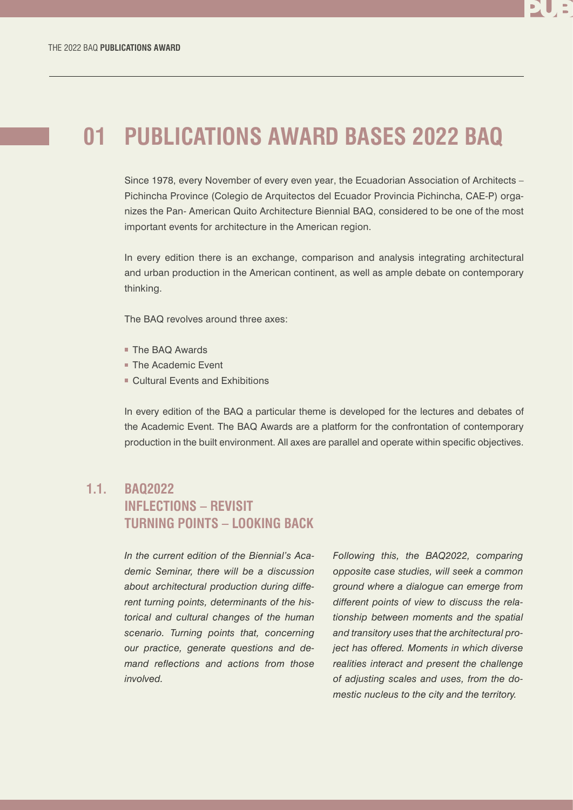

## **01 PUBLICATIONS AWARD BASES 2022 BAQ**

Since 1978, every November of every even year, the Ecuadorian Association of Architects – Pichincha Province (Colegio de Arquitectos del Ecuador Provincia Pichincha, CAE-P) organizes the Pan- American Quito Architecture Biennial BAQ, considered to be one of the most important events for architecture in the American region.

In every edition there is an exchange, comparison and analysis integrating architectural and urban production in the American continent, as well as ample debate on contemporary thinking.

The BAQ revolves around three axes:

- The BAQ Awards
- **The Academic Event**
- **Cultural Events and Exhibitions**

In every edition of the BAQ a particular theme is developed for the lectures and debates of the Academic Event. The BAQ Awards are a platform for the confrontation of contemporary production in the built environment. All axes are parallel and operate within specific objectives.

#### **BAQ2022 INFLECTIONS – REVISIT TURNING POINTS – LOOKING BACK 1.1.**

*In the current edition of the Biennial's Academic Seminar, there will be a discussion about architectural production during different turning points, determinants of the historical and cultural changes of the human scenario. Turning points that, concerning our practice, generate questions and demand reflections and actions from those involved.* 

*Following this, the BAQ2022, comparing opposite case studies, will seek a common ground where a dialogue can emerge from different points of view to discuss the relationship between moments and the spatial and transitory uses that the architectural project has offered. Moments in which diverse realities interact and present the challenge of adjusting scales and uses, from the domestic nucleus to the city and the territory.*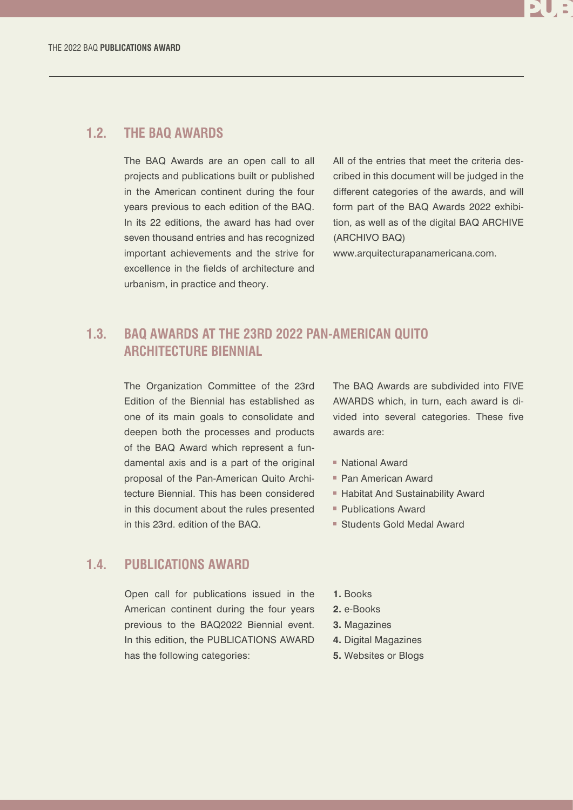

#### **1.2. THE BAQ AWARDS**

The BAQ Awards are an open call to all projects and publications built or published in the American continent during the four years previous to each edition of the BAQ. In its 22 editions, the award has had over seven thousand entries and has recognized important achievements and the strive for excellence in the fields of architecture and urbanism, in practice and theory.

All of the entries that meet the criteria described in this document will be judged in the different categories of the awards, and will form part of the BAQ Awards 2022 exhibition, as well as of the digital BAQ ARCHIVE (ARCHIVO BAQ)

www.arquitecturapanamericana.com.

#### **1.3. BAQ AWARDS AT THE 23RD 2022 PAN-AMERICAN QUITO ARCHITECTURE BIENNIAL**

The Organization Committee of the 23rd Edition of the Biennial has established as one of its main goals to consolidate and deepen both the processes and products of the BAQ Award which represent a fundamental axis and is a part of the original proposal of the Pan-American Quito Architecture Biennial. This has been considered in this document about the rules presented in this 23rd. edition of the BAQ.

**1.4. PUBLICATIONS AWARD**

> Open call for publications issued in the American continent during the four years previous to the BAQ2022 Biennial event. In this edition, the PUBLICATIONS AWARD has the following categories:

The BAQ Awards are subdivided into FIVE AWARDS which, in turn, each award is divided into several categories. These five awards are:

- National Award
- Pan American Award
- Habitat And Sustainability Award
- Publications Award
- Students Gold Medal Award
- **1.** Books
- **2.** e-Books
- **3.** Magazines
- **4.** Digital Magazines
- **5.** Websites or Blogs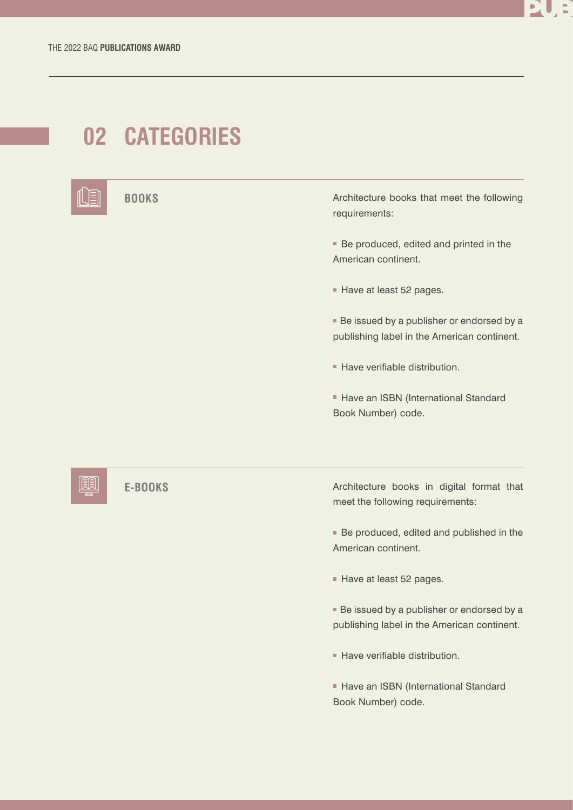# **02 CATEGORIES**

**BOOKS**

**E-BOOKS**

EE

Architecture books that meet the following requirements:

■ Be produced, edited and printed in the American continent.

Have at least 52 pages.

■ Be issued by a publisher or endorsed by a publishing label in the American continent.

Have verifiable distribution.

Have an ISBN (International Standard Book Number) code.

Architecture books in digital format that meet the following requirements:

- Be produced, edited and published in the American continent.
- Have at least 52 pages.

**Be issued by a publisher or endorsed by a** publishing label in the American continent.

- Have verifiable distribution.
- Have an ISBN (International Standard Book Number) code.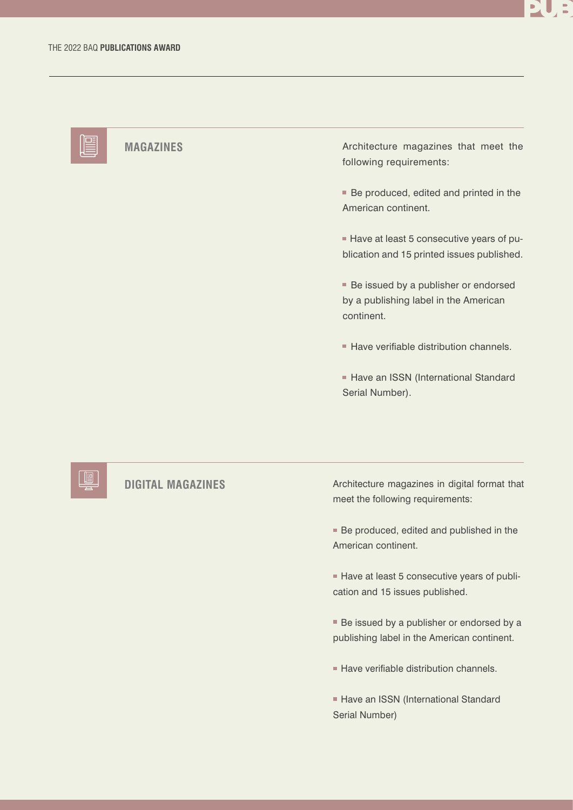



**MAGAZINES MAGAZINES Architecture magazines that meet the** following requirements:

> ■ Be produced, edited and printed in the American continent.

Have at least 5 consecutive years of publication and 15 printed issues published.

■ Be issued by a publisher or endorsed by a publishing label in the American continent.

Have verifiable distribution channels.

Have an ISSN (International Standard Serial Number).



### **DIGITAL MAGAZINES**

Architecture magazines in digital format that meet the following requirements:

 Be produced, edited and published in the American continent.

Have at least 5 consecutive years of publication and 15 issues published.

■ Be issued by a publisher or endorsed by a publishing label in the American continent.

- Have verifiable distribution channels.
- Have an ISSN (International Standard Serial Number)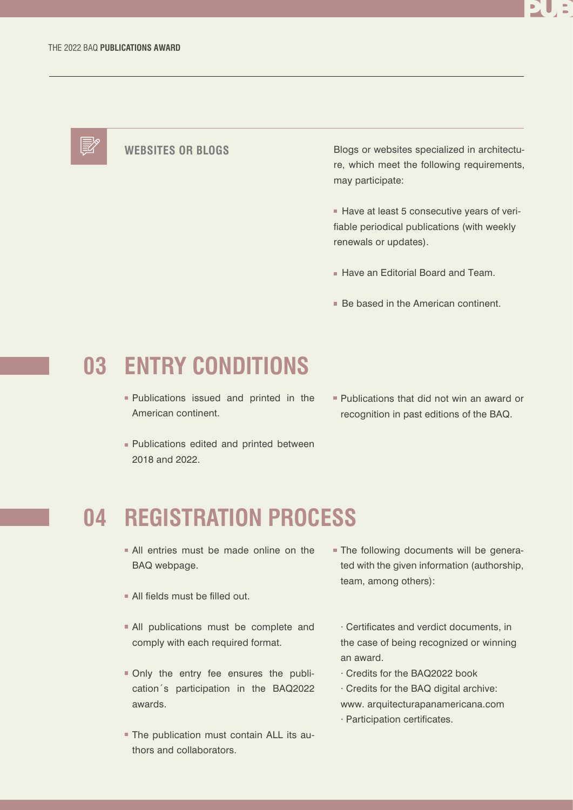

### **WEBSITES OR BLOGS**

Blogs or websites specialized in architecture, which meet the following requirements, may participate:

Have at least 5 consecutive years of verifiable periodical publications (with weekly renewals or updates).

- **Have an Editorial Board and Team.**
- Be based in the American continent.

### **ENTRY CONDITIONS 03**

- **Publications issued and printed in the** American continent.
- **Publications edited and printed between** 2018 and 2022.

# **REGISTRATION PROCESS 04**

- All entries must be made online on the BAQ webpage.
- All fields must be filled out.
- All publications must be complete and comply with each required format.
- Only the entry fee ensures the publication´s participation in the BAQ2022 awards.
- The publication must contain ALL its authors and collaborators.

recognition in past editions of the BAQ.

**Publications that did not win an award or** 

**The following documents will be genera**ted with the given information (authorship, team, among others):

· Certificates and verdict documents, in the case of being recognized or winning an award.

- · Credits for the BAQ2022 book
- · Credits for the BAQ digital archive:
- www. arquitecturapanamericana.com
- · Participation certificates.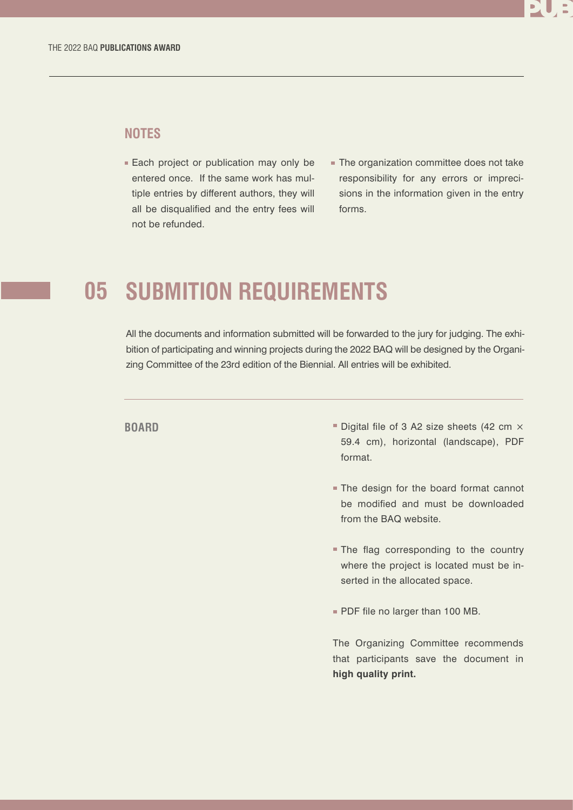### **NOTES**

- **Each project or publication may only be** entered once. If the same work has multiple entries by different authors, they will all be disqualified and the entry fees will not be refunded.
- **The organization committee does not take** responsibility for any errors or imprecisions in the information given in the entry forms.

## **SUBMITION REQUIREMENTS 05**

All the documents and information submitted will be forwarded to the jury for judging. The exhibition of participating and winning projects during the 2022 BAQ will be designed by the Organizing Committee of the 23rd edition of the Biennial. All entries will be exhibited.

**BOARD**

- Digital file of 3 A2 size sheets (42 cm  $\times$ 59.4 cm), horizontal (landscape), PDF format.
- **The design for the board format cannot** be modified and must be downloaded from the BAQ website.
- **The flag corresponding to the country** where the project is located must be inserted in the allocated space.
- **PDF** file no larger than 100 MB.

The Organizing Committee recommends that participants save the document in **high quality print.**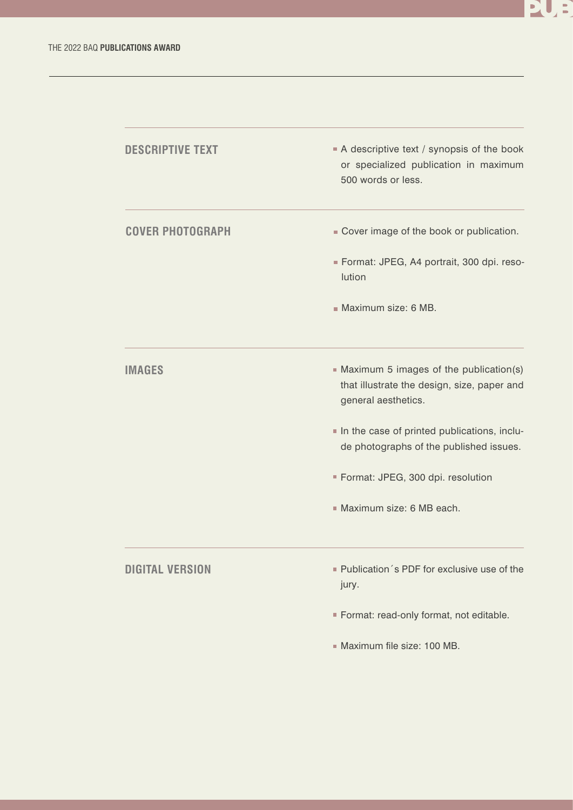

| <b>DESCRIPTIVE TEXT</b> | A descriptive text / synopsis of the book<br>or specialized publication in maximum<br>500 words or less.                                                                                                                                                                    |
|-------------------------|-----------------------------------------------------------------------------------------------------------------------------------------------------------------------------------------------------------------------------------------------------------------------------|
| <b>COVER PHOTOGRAPH</b> | Cover image of the book or publication.                                                                                                                                                                                                                                     |
|                         | Format: JPEG, A4 portrait, 300 dpi. reso-<br>lution                                                                                                                                                                                                                         |
|                         | Maximum size: 6 MB.                                                                                                                                                                                                                                                         |
| <b>IMAGES</b>           | • Maximum 5 images of the publication(s)<br>that illustrate the design, size, paper and<br>general aesthetics.<br>In the case of printed publications, inclu-<br>de photographs of the published issues.<br>Format: JPEG, 300 dpi. resolution<br>• Maximum size: 6 MB each. |
| <b>DIGITAL VERSION</b>  | Publication's PDF for exclusive use of the<br>jury.<br>Format: read-only format, not editable.<br>Maximum file size: 100 MB.                                                                                                                                                |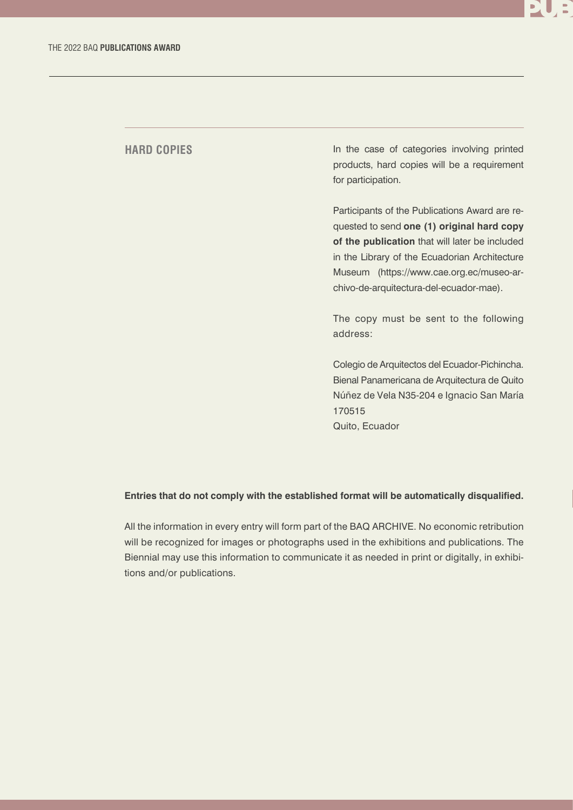### **HARD COPIES**

In the case of categories involving printed products, hard copies will be a requirement for participation.

Participants of the Publications Award are requested to send **one (1) original hard copy of the publication** that will later be included in the Library of the Ecuadorian Architecture Museum (https://www.cae.org.ec/museo-archivo-de-arquitectura-del-ecuador-mae).

The copy must be sent to the following address:

Colegio de Arquitectos del Ecuador-Pichincha. Bienal Panamericana de Arquitectura de Quito Núñez de Vela N35-204 e Ignacio San María 170515 Quito, Ecuador

#### **Entries that do not comply with the established format will be automatically disqualified.**

All the information in every entry will form part of the BAQ ARCHIVE. No economic retribution will be recognized for images or photographs used in the exhibitions and publications. The Biennial may use this information to communicate it as needed in print or digitally, in exhibitions and/or publications.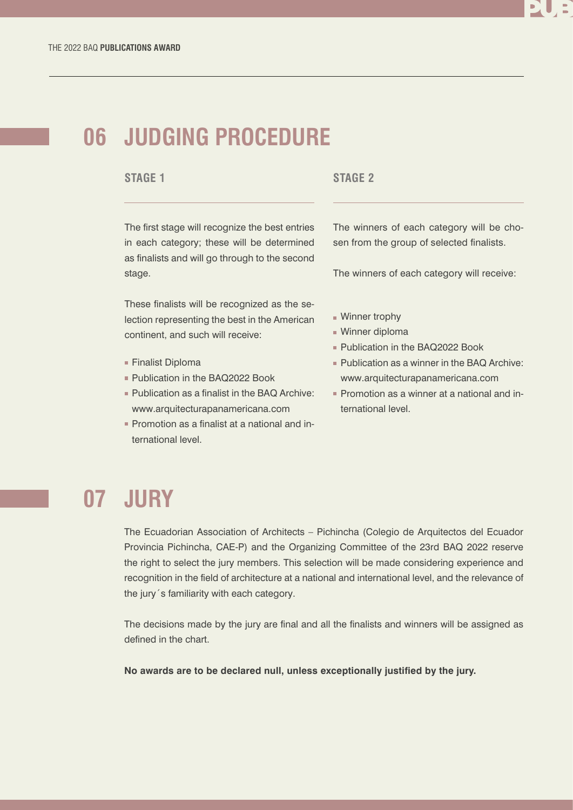

### **JUDGING PROCEDURE 06**

The first stage will recognize the best entries in each category; these will be determined as finalists and will go through to the second stage.

These finalists will be recognized as the selection representing the best in the American continent, and such will receive:

- Finalist Diploma
- **Publication in the BAQ2022 Book**
- **Publication as a finalist in the BAQ Archive:** www.arquitecturapanamericana.com
- **Promotion as a finalist at a national and in**ternational level.

#### **STAGE 1 STAGE 2**

The winners of each category will be chosen from the group of selected finalists.

The winners of each category will receive:

- **Winner trophy**
- Winner diploma
- Publication in the BAQ2022 Book
- **Publication as a winner in the BAQ Archive:** www.arquitecturapanamericana.com
- **Promotion as a winner at a national and in**ternational level.

### **JURY 07**

The Ecuadorian Association of Architects – Pichincha (Colegio de Arquitectos del Ecuador Provincia Pichincha, CAE-P) and the Organizing Committee of the 23rd BAQ 2022 reserve the right to select the jury members. This selection will be made considering experience and recognition in the field of architecture at a national and international level, and the relevance of the jury´s familiarity with each category.

The decisions made by the jury are final and all the finalists and winners will be assigned as defined in the chart.

**No awards are to be declared null, unless exceptionally justified by the jury.**